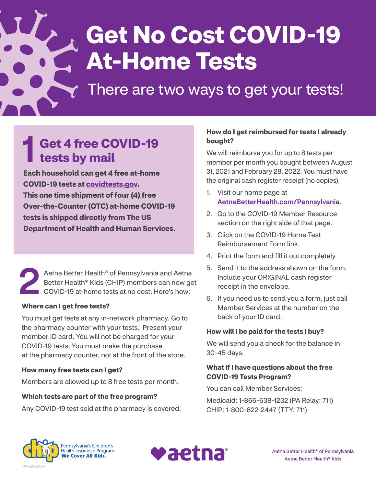# **Get No Cost COVID-19 At-Home Tests**

## There are two ways to get your tests!

#### 1 **Get 4 free COVID-19 tests by mail**

**Each household can get 4 free at-home COVID-19 tests at [covidtests.gov.](https://www.covidtests.gov) This one time shipment of four (4) free Over-the-Counter (OTC) at-home COVID-19 tests is shipped directly from The US Department of Health and Human Services.**

Aetna Better Health® of Pennsylvania and Aetna<br>Better Health® Kids (CHIP) members can now ge<br>COVID-19 at-home tests at no cost. Here's how: Better Health® Kids (CHIP) members can now get **COVID-19 at-home tests at no cost. Here's how:** 

#### **Where can I get free tests?**

í

You must get tests at any in-network pharmacy. Go to the pharmacy counter with your tests. Present your member ID card. You will not be charged for your COVID-19 tests. You must make the purchase at the pharmacy counter, not at the front of the store.

#### **How many free tests can I get?**

Members are allowed up to 8 free tests per month.

#### **Which tests are part of the free program?**

Any COVID-19 test sold at the pharmacy is covered.

#### **How do I get reimbursed for tests I already bought?**

We will reimburse you for up to 8 tests per member per month you bought between August 31, 2021 and February 28, 2022. You must have the original cash register receipt (no copies).

- 1. Visit our home page at [AetnaBetterHealth.com/Pennsylvania](https://www.aetnabetterhealth.com/Pennsylvania).
- 2. Go to the COVID-19 Member Resource section on the right side of that page.
- 3. Click on the COVID-19 Home Test Reimbursement Form link.
- 4. Print the form and fill it out completely.
- 5. Send it to the address shown on the form. Include your ORIGINAL cash register receipt in the envelope.
- 6. If you need us to send you a form, just call Member Services at the number on the back of your ID card.

#### **How will I be paid for the tests I buy?**

We will send you a check for the balance in 30-45 days.

#### **What if I have questions about the free COVID-19 Tests Program?**

You can call Member Services:

Medicaid: 1-866-638-1232 (PA Relay: 711) CHIP: 1-800-822-2447 (TTY: 711)